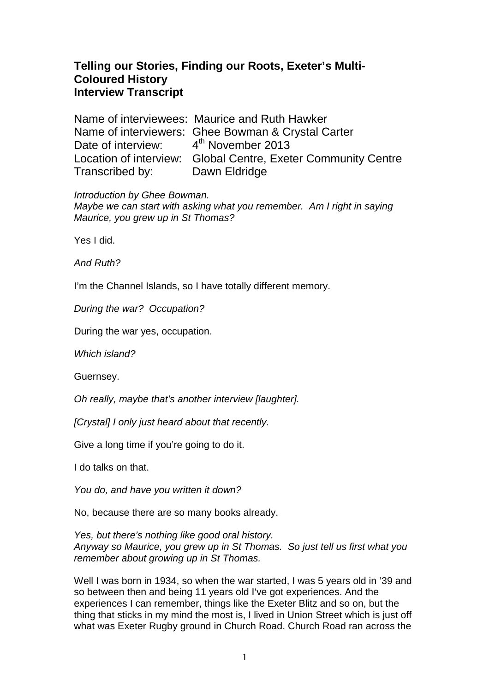# **Telling our Stories, Finding our Roots, Exeter's Multi-Coloured History Interview Transcript**

Name of interviewees: Maurice and Ruth Hawker Name of interviewers: Ghee Bowman & Crystal Carter Date of interview:  $4<sup>th</sup>$  November 2013 Location of interview: Global Centre, Exeter Community Centre Transcribed by: Dawn Eldridge

Introduction by Ghee Bowman.

Maybe we can start with asking what you remember. Am I right in saying Maurice, you grew up in St Thomas?

Yes I did.

And Ruth?

I'm the Channel Islands, so I have totally different memory.

During the war? Occupation?

During the war yes, occupation.

Which island?

Guernsey.

Oh really, maybe that's another interview [laughter].

[Crystal] I only just heard about that recently.

Give a long time if you're going to do it.

I do talks on that.

You do, and have you written it down?

No, because there are so many books already.

Yes, but there's nothing like good oral history. Anyway so Maurice, you grew up in St Thomas. So just tell us first what you remember about growing up in St Thomas.

Well I was born in 1934, so when the war started, I was 5 years old in '39 and so between then and being 11 years old I've got experiences. And the experiences I can remember, things like the Exeter Blitz and so on, but the thing that sticks in my mind the most is, I lived in Union Street which is just off what was Exeter Rugby ground in Church Road. Church Road ran across the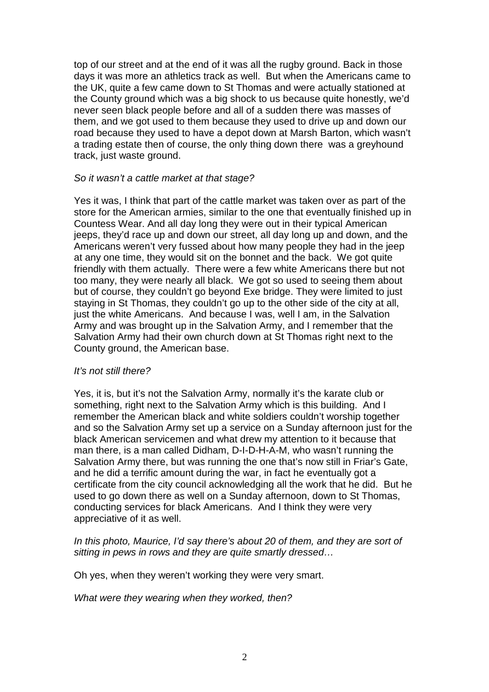top of our street and at the end of it was all the rugby ground. Back in those days it was more an athletics track as well. But when the Americans came to the UK, quite a few came down to St Thomas and were actually stationed at the County ground which was a big shock to us because quite honestly, we'd never seen black people before and all of a sudden there was masses of them, and we got used to them because they used to drive up and down our road because they used to have a depot down at Marsh Barton, which wasn't a trading estate then of course, the only thing down there was a greyhound track, just waste ground.

## So it wasn't a cattle market at that stage?

Yes it was, I think that part of the cattle market was taken over as part of the store for the American armies, similar to the one that eventually finished up in Countess Wear. And all day long they were out in their typical American jeeps, they'd race up and down our street, all day long up and down, and the Americans weren't very fussed about how many people they had in the jeep at any one time, they would sit on the bonnet and the back. We got quite friendly with them actually. There were a few white Americans there but not too many, they were nearly all black. We got so used to seeing them about but of course, they couldn't go beyond Exe bridge. They were limited to just staying in St Thomas, they couldn't go up to the other side of the city at all, just the white Americans. And because I was, well I am, in the Salvation Army and was brought up in the Salvation Army, and I remember that the Salvation Army had their own church down at St Thomas right next to the County ground, the American base.

#### It's not still there?

Yes, it is, but it's not the Salvation Army, normally it's the karate club or something, right next to the Salvation Army which is this building. And I remember the American black and white soldiers couldn't worship together and so the Salvation Army set up a service on a Sunday afternoon just for the black American servicemen and what drew my attention to it because that man there, is a man called Didham, D-I-D-H-A-M, who wasn't running the Salvation Army there, but was running the one that's now still in Friar's Gate, and he did a terrific amount during the war, in fact he eventually got a certificate from the city council acknowledging all the work that he did. But he used to go down there as well on a Sunday afternoon, down to St Thomas, conducting services for black Americans. And I think they were very appreciative of it as well.

### In this photo, Maurice, I'd say there's about 20 of them, and they are sort of sitting in pews in rows and they are quite smartly dressed...

Oh yes, when they weren't working they were very smart.

What were they wearing when they worked, then?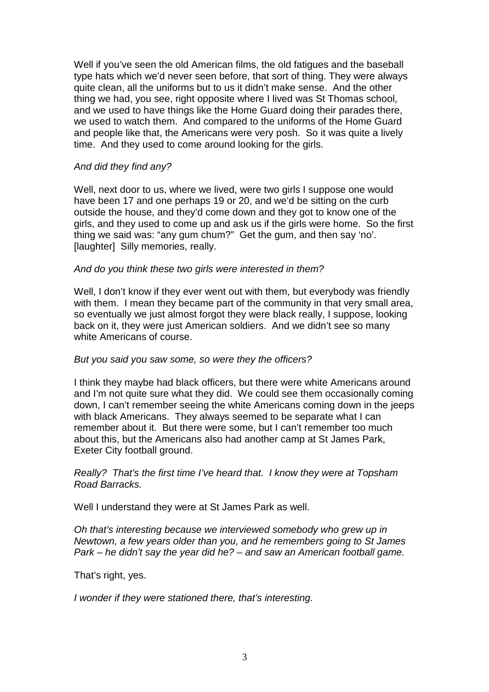Well if you've seen the old American films, the old fatigues and the baseball type hats which we'd never seen before, that sort of thing. They were always quite clean, all the uniforms but to us it didn't make sense. And the other thing we had, you see, right opposite where I lived was St Thomas school, and we used to have things like the Home Guard doing their parades there, we used to watch them. And compared to the uniforms of the Home Guard and people like that, the Americans were very posh. So it was quite a lively time. And they used to come around looking for the girls.

## And did they find any?

Well, next door to us, where we lived, were two girls I suppose one would have been 17 and one perhaps 19 or 20, and we'd be sitting on the curb outside the house, and they'd come down and they got to know one of the girls, and they used to come up and ask us if the girls were home. So the first thing we said was: "any gum chum?" Get the gum, and then say 'no'. [laughter] Silly memories, really.

### And do you think these two girls were interested in them?

Well, I don't know if they ever went out with them, but everybody was friendly with them. I mean they became part of the community in that very small area, so eventually we just almost forgot they were black really, I suppose, looking back on it, they were just American soldiers. And we didn't see so many white Americans of course.

#### But you said you saw some, so were they the officers?

I think they maybe had black officers, but there were white Americans around and I'm not quite sure what they did. We could see them occasionally coming down, I can't remember seeing the white Americans coming down in the jeeps with black Americans. They always seemed to be separate what I can remember about it. But there were some, but I can't remember too much about this, but the Americans also had another camp at St James Park, Exeter City football ground.

### Really? That's the first time I've heard that. I know they were at Topsham Road Barracks.

Well I understand they were at St James Park as well.

Oh that's interesting because we interviewed somebody who grew up in Newtown, a few years older than you, and he remembers going to St James Park – he didn't say the year did he? – and saw an American football game.

That's right, yes.

I wonder if they were stationed there, that's interesting.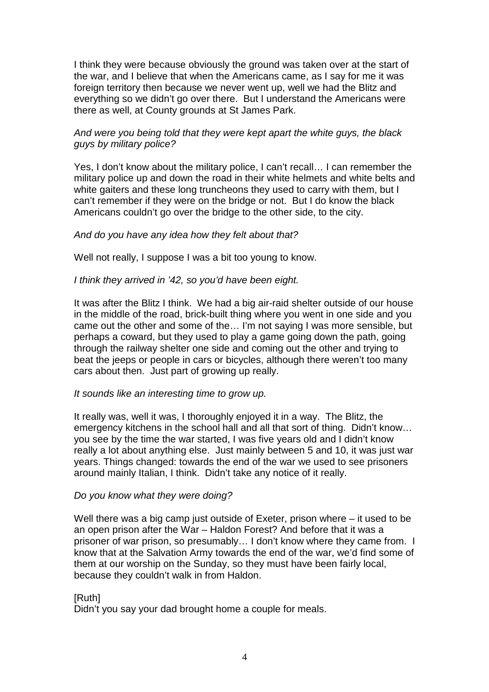I think they were because obviously the ground was taken over at the start of the war, and I believe that when the Americans came, as I say for me it was foreign territory then because we never went up, well we had the Blitz and everything so we didn't go over there. But I understand the Americans were there as well, at County grounds at St James Park.

## And were you being told that they were kept apart the white guys, the black guys by military police?

Yes, I don't know about the military police, I can't recall... I can remember the military police up and down the road in their white helmets and white belts and white gaiters and these long truncheons they used to carry with them, but I can't remember if they were on the bridge or not. But I do know the black Americans couldn't go over the bridge to the other side, to the city.

### And do you have any idea how they felt about that?

Well not really, I suppose I was a bit too young to know.

### I think they arrived in '42, so you'd have been eight.

It was after the Blitz I think. We had a big air-raid shelter outside of our house in the middle of the road, brick-built thing where you went in one side and you came out the other and some of the… I'm not saying I was more sensible, but perhaps a coward, but they used to play a game going down the path, going through the railway shelter one side and coming out the other and trying to beat the jeeps or people in cars or bicycles, although there weren't too many cars about then. Just part of growing up really.

## It sounds like an interesting time to grow up.

It really was, well it was, I thoroughly enjoyed it in a way. The Blitz, the emergency kitchens in the school hall and all that sort of thing. Didn't know… you see by the time the war started, I was five years old and I didn't know really a lot about anything else. Just mainly between 5 and 10, it was just war years. Things changed: towards the end of the war we used to see prisoners around mainly Italian, I think. Didn't take any notice of it really.

## Do you know what they were doing?

Well there was a big camp just outside of Exeter, prison where – it used to be an open prison after the War – Haldon Forest? And before that it was a prisoner of war prison, so presumably… I don't know where they came from. I know that at the Salvation Army towards the end of the war, we'd find some of them at our worship on the Sunday, so they must have been fairly local, because they couldn't walk in from Haldon.

## [Ruth]

Didn't you say your dad brought home a couple for meals.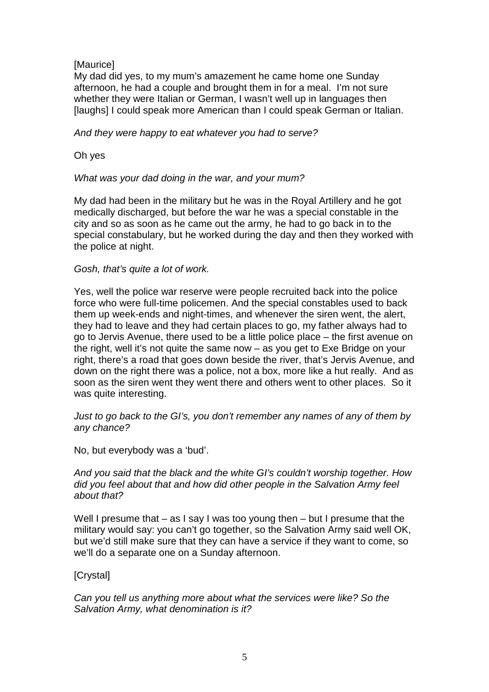## [Maurice]

My dad did yes, to my mum's amazement he came home one Sunday afternoon, he had a couple and brought them in for a meal. I'm not sure whether they were Italian or German, I wasn't well up in languages then [laughs] I could speak more American than I could speak German or Italian.

## And they were happy to eat whatever you had to serve?

Oh yes

## What was your dad doing in the war, and your mum?

My dad had been in the military but he was in the Royal Artillery and he got medically discharged, but before the war he was a special constable in the city and so as soon as he came out the army, he had to go back in to the special constabulary, but he worked during the day and then they worked with the police at night.

## Gosh, that's quite a lot of work.

Yes, well the police war reserve were people recruited back into the police force who were full-time policemen. And the special constables used to back them up week-ends and night-times, and whenever the siren went, the alert, they had to leave and they had certain places to go, my father always had to go to Jervis Avenue, there used to be a little police place – the first avenue on the right, well it's not quite the same now – as you get to Exe Bridge on your right, there's a road that goes down beside the river, that's Jervis Avenue, and down on the right there was a police, not a box, more like a hut really. And as soon as the siren went they went there and others went to other places. So it was quite interesting.

## Just to go back to the GI's, you don't remember any names of any of them by any chance?

No, but everybody was a 'bud'.

## And you said that the black and the white GI's couldn't worship together. How did you feel about that and how did other people in the Salvation Army feel about that?

Well I presume that – as I say I was too young then – but I presume that the military would say: you can't go together, so the Salvation Army said well OK. but we'd still make sure that they can have a service if they want to come, so we'll do a separate one on a Sunday afternoon.

## [Crystal]

Can you tell us anything more about what the services were like? So the Salvation Army, what denomination is it?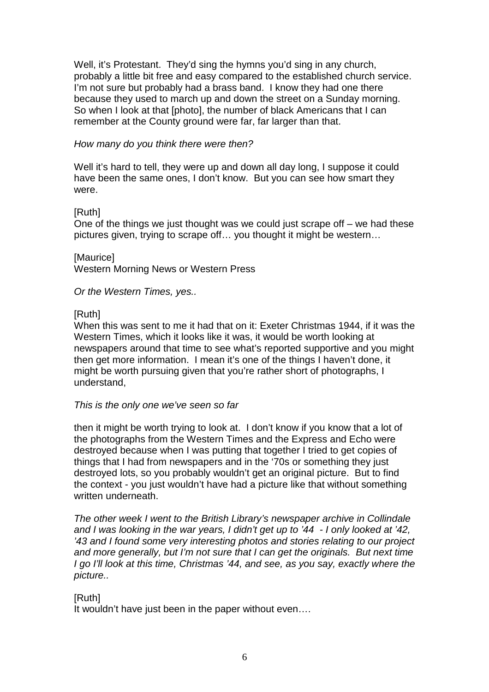Well, it's Protestant. They'd sing the hymns you'd sing in any church, probably a little bit free and easy compared to the established church service. I'm not sure but probably had a brass band. I know they had one there because they used to march up and down the street on a Sunday morning. So when I look at that [photo], the number of black Americans that I can remember at the County ground were far, far larger than that.

#### How many do you think there were then?

Well it's hard to tell, they were up and down all day long. I suppose it could have been the same ones, I don't know. But you can see how smart they were.

## [Ruth]

One of the things we just thought was we could just scrape off – we had these pictures given, trying to scrape off… you thought it might be western…

[Maurice] Western Morning News or Western Press

Or the Western Times, yes..

## [Ruth]

When this was sent to me it had that on it: Exeter Christmas 1944, if it was the Western Times, which it looks like it was, it would be worth looking at newspapers around that time to see what's reported supportive and you might then get more information. I mean it's one of the things I haven't done, it might be worth pursuing given that you're rather short of photographs, I understand,

## This is the only one we've seen so far

then it might be worth trying to look at. I don't know if you know that a lot of the photographs from the Western Times and the Express and Echo were destroyed because when I was putting that together I tried to get copies of things that I had from newspapers and in the '70s or something they just destroyed lots, so you probably wouldn't get an original picture. But to find the context - you just wouldn't have had a picture like that without something written underneath.

The other week I went to the British Library's newspaper archive in Collindale and I was looking in the war years, I didn't get up to '44 - I only looked at '42, '43 and I found some very interesting photos and stories relating to our project and more generally, but I'm not sure that I can get the originals. But next time I go I'll look at this time, Christmas '44, and see, as you say, exactly where the picture..

## [Ruth]

It wouldn't have just been in the paper without even….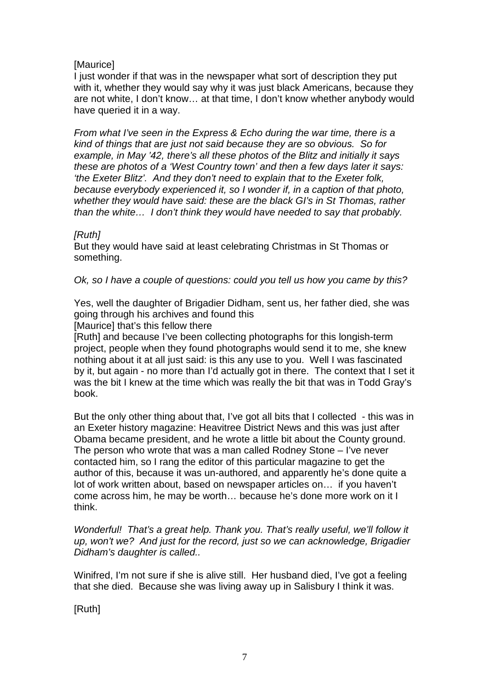## [Maurice]

I just wonder if that was in the newspaper what sort of description they put with it, whether they would say why it was just black Americans, because they are not white, I don't know… at that time, I don't know whether anybody would have queried it in a way.

From what I've seen in the Express & Echo during the war time, there is a kind of things that are just not said because they are so obvious. So for example, in May '42, there's all these photos of the Blitz and initially it says these are photos of a 'West Country town' and then a few days later it says: 'the Exeter Blitz'. And they don't need to explain that to the Exeter folk, because everybody experienced it, so I wonder if, in a caption of that photo, whether they would have said: these are the black GI's in St Thomas, rather than the white… I don't think they would have needed to say that probably.

## [Ruth]

But they would have said at least celebrating Christmas in St Thomas or something.

Ok, so I have a couple of questions: could you tell us how you came by this?

Yes, well the daughter of Brigadier Didham, sent us, her father died, she was going through his archives and found this

[Maurice] that's this fellow there

[Ruth] and because I've been collecting photographs for this longish-term project, people when they found photographs would send it to me, she knew nothing about it at all just said: is this any use to you. Well I was fascinated by it, but again - no more than I'd actually got in there. The context that I set it was the bit I knew at the time which was really the bit that was in Todd Gray's book.

But the only other thing about that, I've got all bits that I collected - this was in an Exeter history magazine: Heavitree District News and this was just after Obama became president, and he wrote a little bit about the County ground. The person who wrote that was a man called Rodney Stone – I've never contacted him, so I rang the editor of this particular magazine to get the author of this, because it was un-authored, and apparently he's done quite a lot of work written about, based on newspaper articles on… if you haven't come across him, he may be worth… because he's done more work on it I think.

Wonderful! That's a great help. Thank you. That's really useful, we'll follow it up, won't we? And just for the record, just so we can acknowledge, Brigadier Didham's daughter is called..

Winifred, I'm not sure if she is alive still. Her husband died, I've got a feeling that she died. Because she was living away up in Salisbury I think it was.

[Ruth]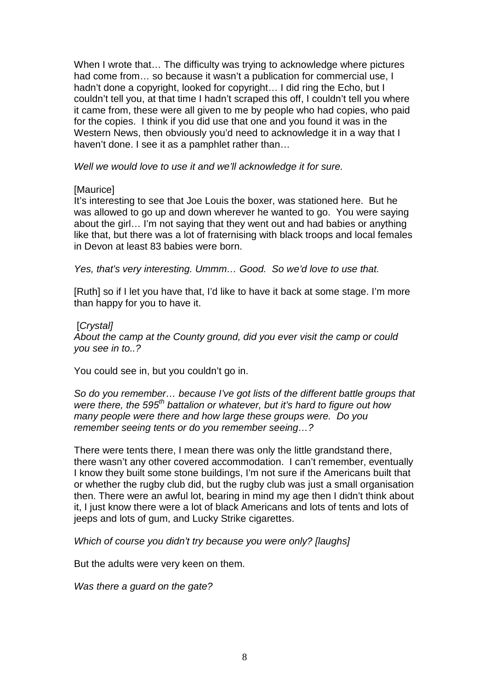When I wrote that… The difficulty was trying to acknowledge where pictures had come from… so because it wasn't a publication for commercial use, I hadn't done a copyright, looked for copyright… I did ring the Echo, but I couldn't tell you, at that time I hadn't scraped this off, I couldn't tell you where it came from, these were all given to me by people who had copies, who paid for the copies. I think if you did use that one and you found it was in the Western News, then obviously you'd need to acknowledge it in a way that I haven't done. I see it as a pamphlet rather than…

Well we would love to use it and we'll acknowledge it for sure.

## [Maurice]

It's interesting to see that Joe Louis the boxer, was stationed here. But he was allowed to go up and down wherever he wanted to go. You were saying about the girl… I'm not saying that they went out and had babies or anything like that, but there was a lot of fraternising with black troops and local females in Devon at least 83 babies were born.

Yes, that's very interesting. Ummm... Good. So we'd love to use that.

[Ruth] so if I let you have that, I'd like to have it back at some stage. I'm more than happy for you to have it.

## [Crystal]

About the camp at the County ground, did you ever visit the camp or could you see in to..?

You could see in, but you couldn't go in.

So do you remember… because I've got lists of the different battle groups that were there, the 595<sup>th</sup> battalion or whatever, but it's hard to figure out how many people were there and how large these groups were. Do you remember seeing tents or do you remember seeing…?

There were tents there, I mean there was only the little grandstand there, there wasn't any other covered accommodation. I can't remember, eventually I know they built some stone buildings, I'm not sure if the Americans built that or whether the rugby club did, but the rugby club was just a small organisation then. There were an awful lot, bearing in mind my age then I didn't think about it, I just know there were a lot of black Americans and lots of tents and lots of jeeps and lots of gum, and Lucky Strike cigarettes.

Which of course you didn't try because you were only? [laughs]

But the adults were very keen on them.

Was there a guard on the gate?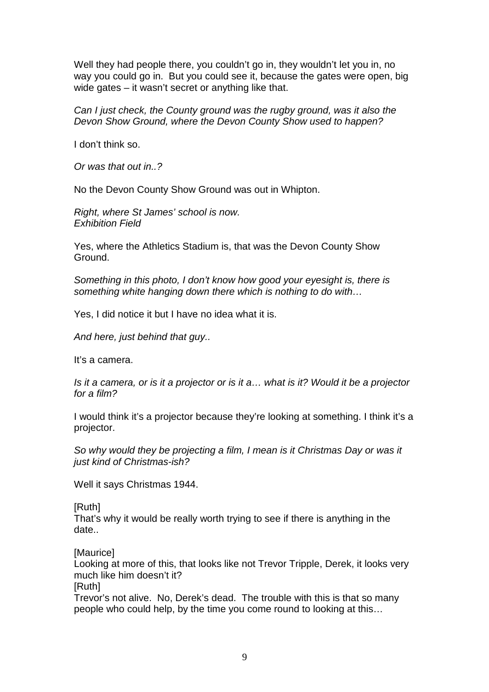Well they had people there, you couldn't go in, they wouldn't let you in, no way you could go in. But you could see it, because the gates were open, big wide gates – it wasn't secret or anything like that.

Can I just check, the County ground was the rugby ground, was it also the Devon Show Ground, where the Devon County Show used to happen?

I don't think so.

Or was that out in..?

No the Devon County Show Ground was out in Whipton.

Right, where St James' school is now. Exhibition Field

Yes, where the Athletics Stadium is, that was the Devon County Show Ground.

Something in this photo, I don't know how good your eyesight is, there is something white hanging down there which is nothing to do with…

Yes, I did notice it but I have no idea what it is.

And here, just behind that guy..

It's a camera.

Is it a camera, or is it a projector or is it a… what is it? Would it be a projector for a film?

I would think it's a projector because they're looking at something. I think it's a projector.

So why would they be projecting a film, I mean is it Christmas Day or was it just kind of Christmas-ish?

Well it says Christmas 1944.

[Ruth]

That's why it would be really worth trying to see if there is anything in the date..

[Maurice]

Looking at more of this, that looks like not Trevor Tripple, Derek, it looks very much like him doesn't it?

[Ruth]

Trevor's not alive. No, Derek's dead. The trouble with this is that so many people who could help, by the time you come round to looking at this…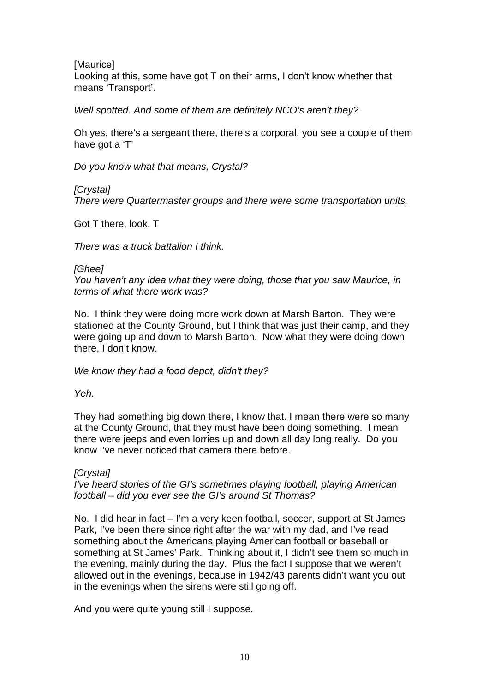## [Maurice]

Looking at this, some have got T on their arms, I don't know whether that means 'Transport'.

Well spotted. And some of them are definitely NCO's aren't they?

Oh yes, there's a sergeant there, there's a corporal, you see a couple of them have got a 'T'

Do you know what that means, Crystal?

[Crystal]

There were Quartermaster groups and there were some transportation units.

Got T there, look. T

There was a truck battalion I think.

## [Ghee]

You haven't any idea what they were doing, those that you saw Maurice, in terms of what there work was?

No. I think they were doing more work down at Marsh Barton. They were stationed at the County Ground, but I think that was just their camp, and they were going up and down to Marsh Barton. Now what they were doing down there, I don't know.

We know they had a food depot, didn't they?

Yeh.

They had something big down there, I know that. I mean there were so many at the County Ground, that they must have been doing something. I mean there were jeeps and even lorries up and down all day long really. Do you know I've never noticed that camera there before.

## **[Crystal]**

I've heard stories of the GI's sometimes playing football, playing American football – did you ever see the GI's around St Thomas?

No. I did hear in fact – I'm a very keen football, soccer, support at St James Park, I've been there since right after the war with my dad, and I've read something about the Americans playing American football or baseball or something at St James' Park. Thinking about it, I didn't see them so much in the evening, mainly during the day. Plus the fact I suppose that we weren't allowed out in the evenings, because in 1942/43 parents didn't want you out in the evenings when the sirens were still going off.

And you were quite young still I suppose.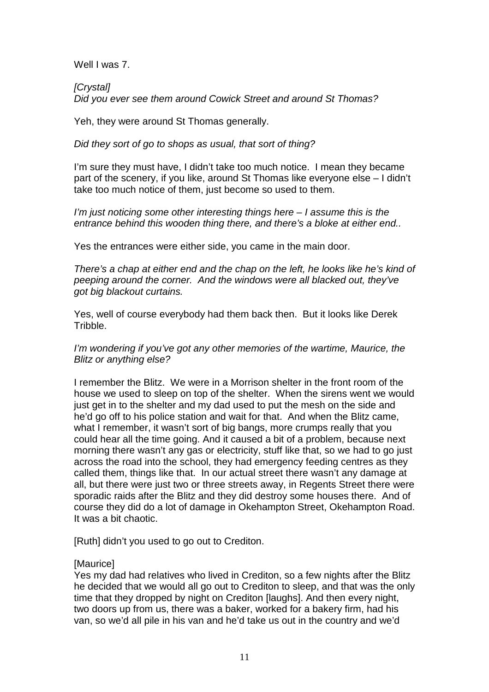Well I was 7.

**[Crystal]** Did you ever see them around Cowick Street and around St Thomas?

Yeh, they were around St Thomas generally.

Did they sort of go to shops as usual, that sort of thing?

I'm sure they must have, I didn't take too much notice. I mean they became part of the scenery, if you like, around St Thomas like everyone else – I didn't take too much notice of them, just become so used to them.

I'm just noticing some other interesting things here  $-1$  assume this is the entrance behind this wooden thing there, and there's a bloke at either end..

Yes the entrances were either side, you came in the main door.

There's a chap at either end and the chap on the left, he looks like he's kind of peeping around the corner. And the windows were all blacked out, they've got big blackout curtains.

Yes, well of course everybody had them back then. But it looks like Derek Tribble.

I'm wondering if you've got any other memories of the wartime, Maurice, the Blitz or anything else?

I remember the Blitz. We were in a Morrison shelter in the front room of the house we used to sleep on top of the shelter. When the sirens went we would just get in to the shelter and my dad used to put the mesh on the side and he'd go off to his police station and wait for that. And when the Blitz came, what I remember, it wasn't sort of big bangs, more crumps really that you could hear all the time going. And it caused a bit of a problem, because next morning there wasn't any gas or electricity, stuff like that, so we had to go just across the road into the school, they had emergency feeding centres as they called them, things like that. In our actual street there wasn't any damage at all, but there were just two or three streets away, in Regents Street there were sporadic raids after the Blitz and they did destroy some houses there. And of course they did do a lot of damage in Okehampton Street, Okehampton Road. It was a bit chaotic.

[Ruth] didn't you used to go out to Crediton.

## **[Maurice]**

Yes my dad had relatives who lived in Crediton, so a few nights after the Blitz he decided that we would all go out to Crediton to sleep, and that was the only time that they dropped by night on Crediton [laughs]. And then every night, two doors up from us, there was a baker, worked for a bakery firm, had his van, so we'd all pile in his van and he'd take us out in the country and we'd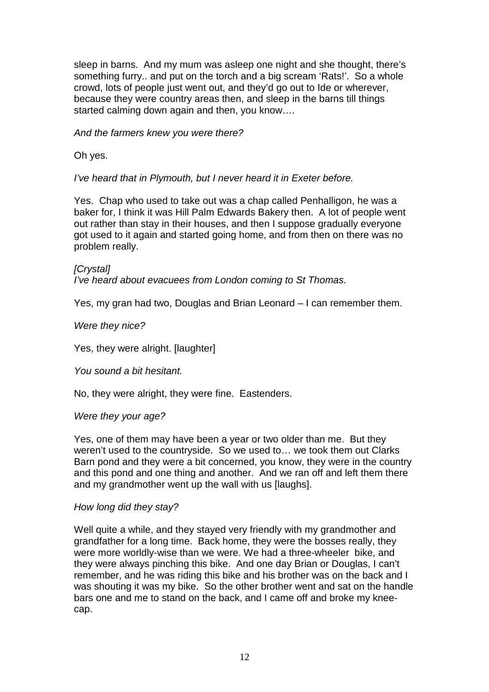sleep in barns. And my mum was asleep one night and she thought, there's something furry.. and put on the torch and a big scream 'Rats!'. So a whole crowd, lots of people just went out, and they'd go out to Ide or wherever, because they were country areas then, and sleep in the barns till things started calming down again and then, you know….

And the farmers knew you were there?

Oh yes.

I've heard that in Plymouth, but I never heard it in Exeter before.

Yes. Chap who used to take out was a chap called Penhalligon, he was a baker for, I think it was Hill Palm Edwards Bakery then. A lot of people went out rather than stay in their houses, and then I suppose gradually everyone got used to it again and started going home, and from then on there was no problem really.

[Crystal] I've heard about evacuees from London coming to St Thomas.

Yes, my gran had two, Douglas and Brian Leonard – I can remember them.

Were they nice?

Yes, they were alright. [laughter]

You sound a bit hesitant.

No, they were alright, they were fine. Eastenders.

Were they your age?

Yes, one of them may have been a year or two older than me. But they weren't used to the countryside. So we used to… we took them out Clarks Barn pond and they were a bit concerned, you know, they were in the country and this pond and one thing and another. And we ran off and left them there and my grandmother went up the wall with us [laughs].

## How long did they stay?

Well quite a while, and they stayed very friendly with my grandmother and grandfather for a long time. Back home, they were the bosses really, they were more worldly-wise than we were. We had a three-wheeler bike, and they were always pinching this bike. And one day Brian or Douglas, I can't remember, and he was riding this bike and his brother was on the back and I was shouting it was my bike. So the other brother went and sat on the handle bars one and me to stand on the back, and I came off and broke my kneecap.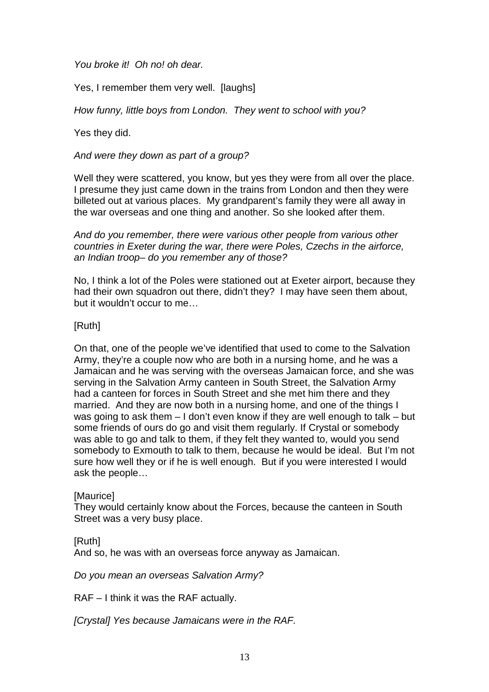You broke it! Oh no! oh dear.

Yes, I remember them very well. [laughs]

How funny, little boys from London. They went to school with you?

Yes they did.

And were they down as part of a group?

Well they were scattered, you know, but yes they were from all over the place. I presume they just came down in the trains from London and then they were billeted out at various places. My grandparent's family they were all away in the war overseas and one thing and another. So she looked after them.

And do you remember, there were various other people from various other countries in Exeter during the war, there were Poles, Czechs in the airforce, an Indian troop– do you remember any of those?

No, I think a lot of the Poles were stationed out at Exeter airport, because they had their own squadron out there, didn't they? I may have seen them about, but it wouldn't occur to me…

## [Ruth]

On that, one of the people we've identified that used to come to the Salvation Army, they're a couple now who are both in a nursing home, and he was a Jamaican and he was serving with the overseas Jamaican force, and she was serving in the Salvation Army canteen in South Street, the Salvation Army had a canteen for forces in South Street and she met him there and they married. And they are now both in a nursing home, and one of the things I was going to ask them – I don't even know if they are well enough to talk – but some friends of ours do go and visit them regularly. If Crystal or somebody was able to go and talk to them, if they felt they wanted to, would you send somebody to Exmouth to talk to them, because he would be ideal. But I'm not sure how well they or if he is well enough. But if you were interested I would ask the people…

## [Maurice]

They would certainly know about the Forces, because the canteen in South Street was a very busy place.

## [Ruth]

And so, he was with an overseas force anyway as Jamaican.

Do you mean an overseas Salvation Army?

RAF – I think it was the RAF actually.

[Crystal] Yes because Jamaicans were in the RAF.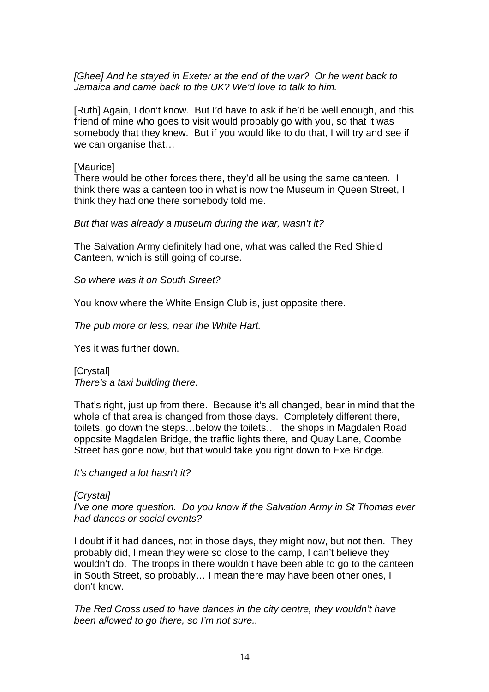### [Ghee] And he stayed in Exeter at the end of the war? Or he went back to Jamaica and came back to the UK? We'd love to talk to him.

[Ruth] Again, I don't know. But I'd have to ask if he'd be well enough, and this friend of mine who goes to visit would probably go with you, so that it was somebody that they knew. But if you would like to do that, I will try and see if we can organise that…

### **[Maurice]**

There would be other forces there, they'd all be using the same canteen. I think there was a canteen too in what is now the Museum in Queen Street, I think they had one there somebody told me.

### But that was already a museum during the war, wasn't it?

The Salvation Army definitely had one, what was called the Red Shield Canteen, which is still going of course.

So where was it on South Street?

You know where the White Ensign Club is, just opposite there.

The pub more or less, near the White Hart.

Yes it was further down.

[Crystal] There's a taxi building there.

That's right, just up from there. Because it's all changed, bear in mind that the whole of that area is changed from those days. Completely different there, toilets, go down the steps…below the toilets… the shops in Magdalen Road opposite Magdalen Bridge, the traffic lights there, and Quay Lane, Coombe Street has gone now, but that would take you right down to Exe Bridge.

It's changed a lot hasn't it?

## [Crystal]

I've one more question. Do you know if the Salvation Army in St Thomas ever had dances or social events?

I doubt if it had dances, not in those days, they might now, but not then. They probably did, I mean they were so close to the camp, I can't believe they wouldn't do. The troops in there wouldn't have been able to go to the canteen in South Street, so probably… I mean there may have been other ones, I don't know.

The Red Cross used to have dances in the city centre, they wouldn't have been allowed to go there, so I'm not sure..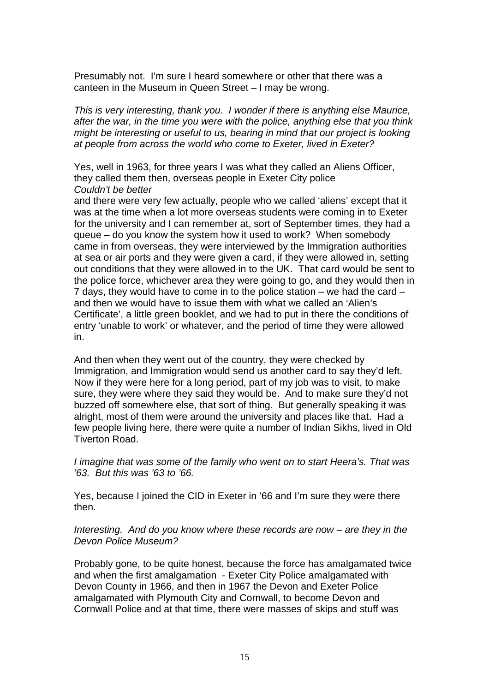Presumably not. I'm sure I heard somewhere or other that there was a canteen in the Museum in Queen Street – I may be wrong.

This is very interesting, thank you. I wonder if there is anything else Maurice, after the war, in the time you were with the police, anything else that you think might be interesting or useful to us, bearing in mind that our project is looking at people from across the world who come to Exeter, lived in Exeter?

Yes, well in 1963, for three years I was what they called an Aliens Officer, they called them then, overseas people in Exeter City police Couldn't be better

and there were very few actually, people who we called 'aliens' except that it was at the time when a lot more overseas students were coming in to Exeter for the university and I can remember at, sort of September times, they had a queue – do you know the system how it used to work? When somebody came in from overseas, they were interviewed by the Immigration authorities at sea or air ports and they were given a card, if they were allowed in, setting out conditions that they were allowed in to the UK. That card would be sent to the police force, whichever area they were going to go, and they would then in 7 days, they would have to come in to the police station – we had the card – and then we would have to issue them with what we called an 'Alien's Certificate', a little green booklet, and we had to put in there the conditions of entry 'unable to work' or whatever, and the period of time they were allowed in.

And then when they went out of the country, they were checked by Immigration, and Immigration would send us another card to say they'd left. Now if they were here for a long period, part of my job was to visit, to make sure, they were where they said they would be. And to make sure they'd not buzzed off somewhere else, that sort of thing. But generally speaking it was alright, most of them were around the university and places like that. Had a few people living here, there were quite a number of Indian Sikhs, lived in Old Tiverton Road.

I imagine that was some of the family who went on to start Heera's. That was '63. But this was '63 to '66.

Yes, because I joined the CID in Exeter in '66 and I'm sure they were there then.

### Interesting. And do you know where these records are now – are they in the Devon Police Museum?

Probably gone, to be quite honest, because the force has amalgamated twice and when the first amalgamation - Exeter City Police amalgamated with Devon County in 1966, and then in 1967 the Devon and Exeter Police amalgamated with Plymouth City and Cornwall, to become Devon and Cornwall Police and at that time, there were masses of skips and stuff was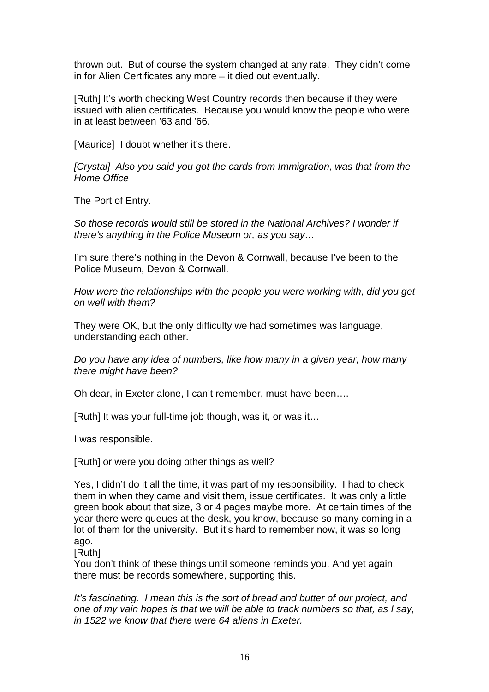thrown out. But of course the system changed at any rate. They didn't come in for Alien Certificates any more – it died out eventually.

[Ruth] It's worth checking West Country records then because if they were issued with alien certificates. Because you would know the people who were in at least between '63 and '66.

[Maurice] I doubt whether it's there.

[Crystal] Also you said you got the cards from Immigration, was that from the Home Office

The Port of Entry.

So those records would still be stored in the National Archives? I wonder if there's anything in the Police Museum or, as you say…

I'm sure there's nothing in the Devon & Cornwall, because I've been to the Police Museum, Devon & Cornwall.

How were the relationships with the people you were working with, did you get on well with them?

They were OK, but the only difficulty we had sometimes was language, understanding each other.

Do you have any idea of numbers, like how many in a given year, how many there might have been?

Oh dear, in Exeter alone, I can't remember, must have been….

[Ruth] It was your full-time job though, was it, or was it…

I was responsible.

[Ruth] or were you doing other things as well?

Yes, I didn't do it all the time, it was part of my responsibility. I had to check them in when they came and visit them, issue certificates. It was only a little green book about that size, 3 or 4 pages maybe more. At certain times of the year there were queues at the desk, you know, because so many coming in a lot of them for the university. But it's hard to remember now, it was so long ago.

[Ruth]

You don't think of these things until someone reminds you. And yet again, there must be records somewhere, supporting this.

It's fascinating. I mean this is the sort of bread and butter of our project, and one of my vain hopes is that we will be able to track numbers so that, as I say, in 1522 we know that there were 64 aliens in Exeter.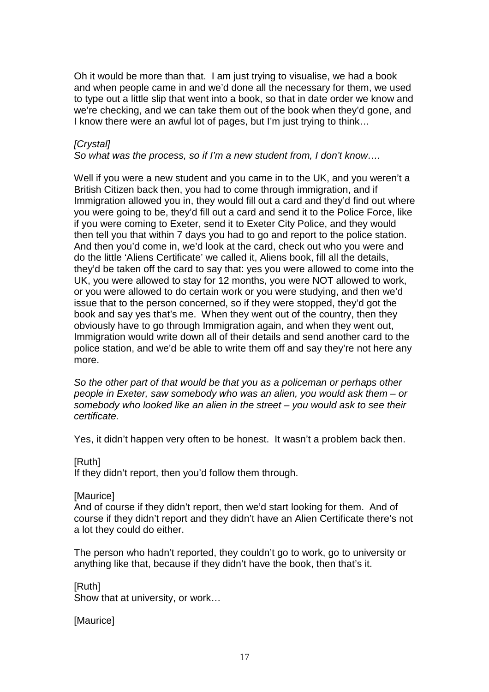Oh it would be more than that. I am just trying to visualise, we had a book and when people came in and we'd done all the necessary for them, we used to type out a little slip that went into a book, so that in date order we know and we're checking, and we can take them out of the book when they'd gone, and I know there were an awful lot of pages, but I'm just trying to think…

## **[Crystal]**

So what was the process, so if I'm a new student from, I don't know….

Well if you were a new student and you came in to the UK, and you weren't a British Citizen back then, you had to come through immigration, and if Immigration allowed you in, they would fill out a card and they'd find out where you were going to be, they'd fill out a card and send it to the Police Force, like if you were coming to Exeter, send it to Exeter City Police, and they would then tell you that within 7 days you had to go and report to the police station. And then you'd come in, we'd look at the card, check out who you were and do the little 'Aliens Certificate' we called it, Aliens book, fill all the details, they'd be taken off the card to say that: yes you were allowed to come into the UK, you were allowed to stay for 12 months, you were NOT allowed to work, or you were allowed to do certain work or you were studying, and then we'd issue that to the person concerned, so if they were stopped, they'd got the book and say yes that's me. When they went out of the country, then they obviously have to go through Immigration again, and when they went out, Immigration would write down all of their details and send another card to the police station, and we'd be able to write them off and say they're not here any more.

So the other part of that would be that you as a policeman or perhaps other people in Exeter, saw somebody who was an alien, you would ask them – or somebody who looked like an alien in the street – you would ask to see their certificate.

Yes, it didn't happen very often to be honest. It wasn't a problem back then.

#### [Ruth]

If they didn't report, then you'd follow them through.

#### [Maurice]

And of course if they didn't report, then we'd start looking for them. And of course if they didn't report and they didn't have an Alien Certificate there's not a lot they could do either.

The person who hadn't reported, they couldn't go to work, go to university or anything like that, because if they didn't have the book, then that's it.

[Ruth] Show that at university, or work…

[Maurice]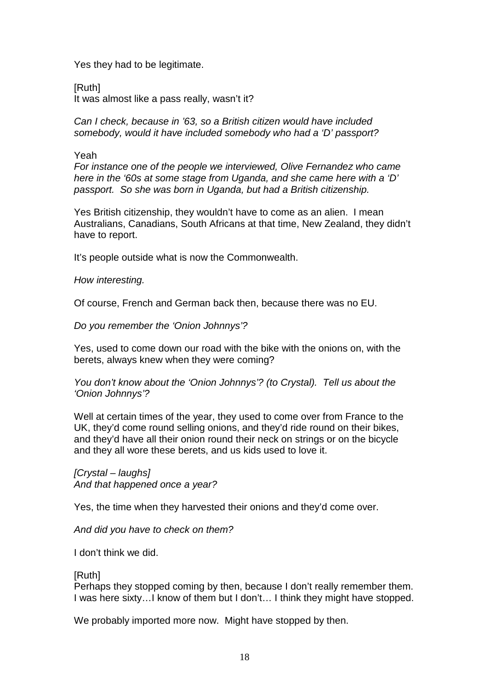Yes they had to be legitimate.

[Ruth] It was almost like a pass really, wasn't it?

Can I check, because in '63, so a British citizen would have included somebody, would it have included somebody who had a 'D' passport?

Yeah

For instance one of the people we interviewed, Olive Fernandez who came here in the '60s at some stage from Uganda, and she came here with a 'D' passport. So she was born in Uganda, but had a British citizenship.

Yes British citizenship, they wouldn't have to come as an alien. I mean Australians, Canadians, South Africans at that time, New Zealand, they didn't have to report.

It's people outside what is now the Commonwealth.

How interesting.

Of course, French and German back then, because there was no EU.

Do you remember the 'Onion Johnnys'?

Yes, used to come down our road with the bike with the onions on, with the berets, always knew when they were coming?

You don't know about the 'Onion Johnnys'? (to Crystal). Tell us about the 'Onion Johnnys'?

Well at certain times of the year, they used to come over from France to the UK, they'd come round selling onions, and they'd ride round on their bikes, and they'd have all their onion round their neck on strings or on the bicycle and they all wore these berets, and us kids used to love it.

[Crystal – laughs] And that happened once a year?

Yes, the time when they harvested their onions and they'd come over.

And did you have to check on them?

I don't think we did.

[Ruth]

Perhaps they stopped coming by then, because I don't really remember them. I was here sixty…I know of them but I don't… I think they might have stopped.

We probably imported more now. Might have stopped by then.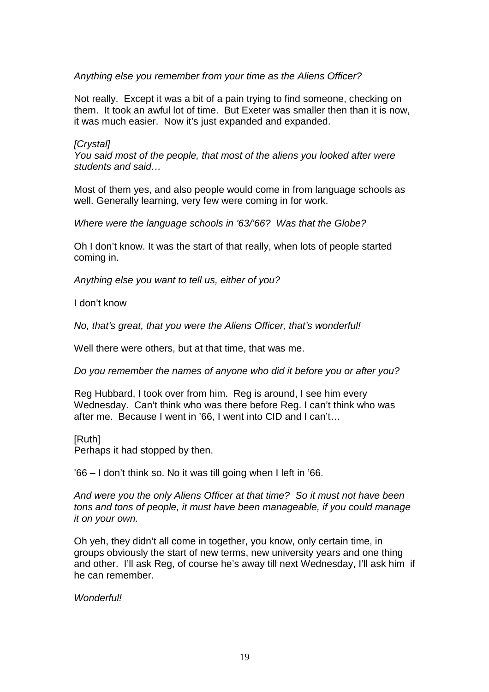Anything else you remember from your time as the Aliens Officer?

Not really. Except it was a bit of a pain trying to find someone, checking on them. It took an awful lot of time. But Exeter was smaller then than it is now, it was much easier. Now it's just expanded and expanded.

## [Crystal]

You said most of the people, that most of the aliens you looked after were students and said…

Most of them yes, and also people would come in from language schools as well. Generally learning, very few were coming in for work.

Where were the language schools in '63/'66? Was that the Globe?

Oh I don't know. It was the start of that really, when lots of people started coming in.

Anything else you want to tell us, either of you?

I don't know

No, that's great, that you were the Aliens Officer, that's wonderful!

Well there were others, but at that time, that was me.

Do you remember the names of anyone who did it before you or after you?

Reg Hubbard, I took over from him. Reg is around, I see him every Wednesday. Can't think who was there before Reg. I can't think who was after me. Because I went in '66, I went into CID and I can't…

[Ruth]

Perhaps it had stopped by then.

'66 – I don't think so. No it was till going when I left in '66.

And were you the only Aliens Officer at that time? So it must not have been tons and tons of people, it must have been manageable, if you could manage it on your own.

Oh yeh, they didn't all come in together, you know, only certain time, in groups obviously the start of new terms, new university years and one thing and other. I'll ask Reg, of course he's away till next Wednesday, I'll ask him if he can remember.

Wonderful!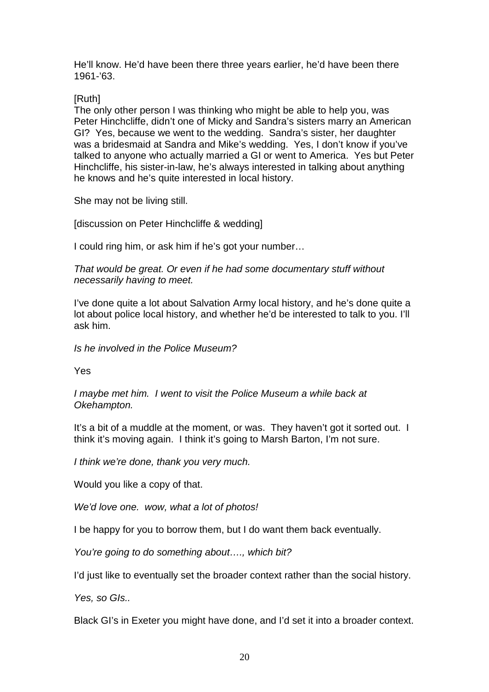He'll know. He'd have been there three years earlier, he'd have been there 1961-'63.

[Ruth]

The only other person I was thinking who might be able to help you, was Peter Hinchcliffe, didn't one of Micky and Sandra's sisters marry an American GI? Yes, because we went to the wedding. Sandra's sister, her daughter was a bridesmaid at Sandra and Mike's wedding. Yes, I don't know if you've talked to anyone who actually married a GI or went to America. Yes but Peter Hinchcliffe, his sister-in-law, he's always interested in talking about anything he knows and he's quite interested in local history.

She may not be living still.

[discussion on Peter Hinchcliffe & wedding]

I could ring him, or ask him if he's got your number…

That would be great. Or even if he had some documentary stuff without necessarily having to meet.

I've done quite a lot about Salvation Army local history, and he's done quite a lot about police local history, and whether he'd be interested to talk to you. I'll ask him.

Is he involved in the Police Museum?

Yes

I maybe met him. I went to visit the Police Museum a while back at Okehampton.

It's a bit of a muddle at the moment, or was. They haven't got it sorted out. I think it's moving again. I think it's going to Marsh Barton, I'm not sure.

I think we're done, thank you very much.

Would you like a copy of that.

We'd love one. wow, what a lot of photos!

I be happy for you to borrow them, but I do want them back eventually.

You're going to do something about..., which bit?

I'd just like to eventually set the broader context rather than the social history.

Yes, so GIs..

Black GI's in Exeter you might have done, and I'd set it into a broader context.